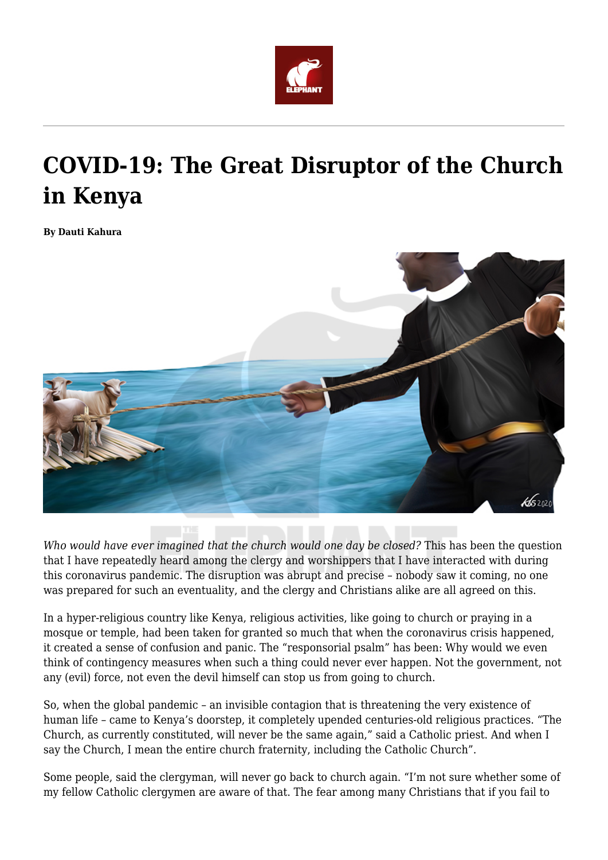

## **COVID-19: The Great Disruptor of the Church in Kenya**

**By Dauti Kahura**



*Who would have ever imagined that the church would one day be closed?* This has been the question that I have repeatedly heard among the clergy and worshippers that I have interacted with during this coronavirus pandemic. The disruption was abrupt and precise – nobody saw it coming, no one was prepared for such an eventuality, and the clergy and Christians alike are all agreed on this.

In a hyper-religious country like Kenya, religious activities, like going to church or praying in a mosque or temple, had been taken for granted so much that when the coronavirus crisis happened, it created a sense of confusion and panic. The "responsorial psalm" has been: Why would we even think of contingency measures when such a thing could never ever happen. Not the government, not any (evil) force, not even the devil himself can stop us from going to church.

So, when the global pandemic – an invisible contagion that is threatening the very existence of human life – came to Kenya's doorstep, it completely upended centuries-old religious practices. "The Church, as currently constituted, will never be the same again," said a Catholic priest. And when I say the Church, I mean the entire church fraternity, including the Catholic Church".

Some people, said the clergyman, will never go back to church again. "I'm not sure whether some of my fellow Catholic clergymen are aware of that. The fear among many Christians that if you fail to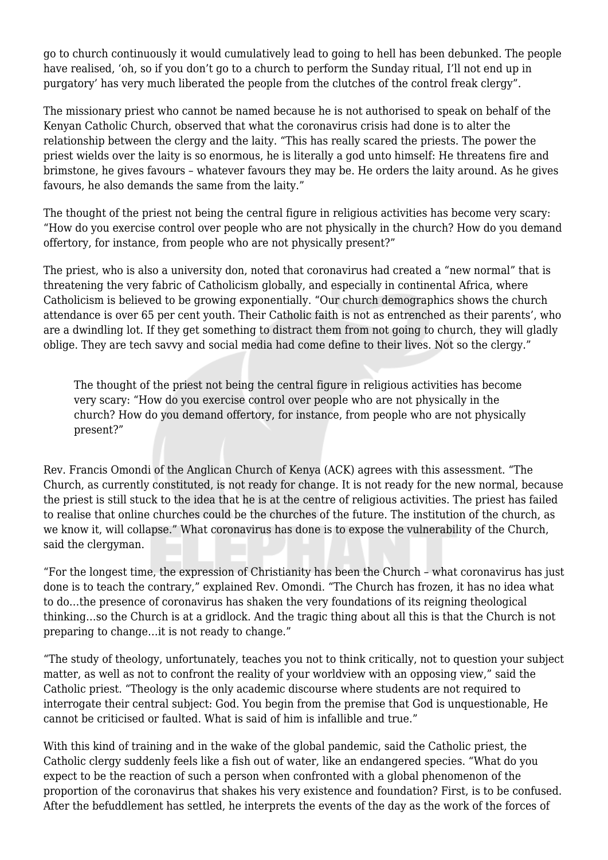go to church continuously it would cumulatively lead to going to hell has been debunked. The people have realised, 'oh, so if you don't go to a church to perform the Sunday ritual, I'll not end up in purgatory' has very much liberated the people from the clutches of the control freak clergy".

The missionary priest who cannot be named because he is not authorised to speak on behalf of the Kenyan Catholic Church, observed that what the coronavirus crisis had done is to alter the relationship between the clergy and the laity. "This has really scared the priests. The power the priest wields over the laity is so enormous, he is literally a god unto himself: He threatens fire and brimstone, he gives favours – whatever favours they may be. He orders the laity around. As he gives favours, he also demands the same from the laity."

The thought of the priest not being the central figure in religious activities has become very scary: "How do you exercise control over people who are not physically in the church? How do you demand offertory, for instance, from people who are not physically present?"

The priest, who is also a university don, noted that coronavirus had created a "new normal" that is threatening the very fabric of Catholicism globally, and especially in continental Africa, where Catholicism is believed to be growing exponentially. "Our church demographics shows the church attendance is over 65 per cent youth. Their Catholic faith is not as entrenched as their parents', who are a dwindling lot. If they get something to distract them from not going to church, they will gladly oblige. They are tech savvy and social media had come define to their lives. Not so the clergy."

The thought of the priest not being the central figure in religious activities has become very scary: "How do you exercise control over people who are not physically in the church? How do you demand offertory, for instance, from people who are not physically present?"

Rev. Francis Omondi of the Anglican Church of Kenya (ACK) agrees with this assessment. "The Church, as currently constituted, is not ready for change. It is not ready for the new normal, because the priest is still stuck to the idea that he is at the centre of religious activities. The priest has failed to realise that online churches could be the churches of the future. The institution of the church, as we know it, will collapse." What coronavirus has done is to expose the vulnerability of the Church, said the clergyman.

"For the longest time, the expression of Christianity has been the Church – what coronavirus has just done is to teach the contrary," explained Rev. Omondi. "The Church has frozen, it has no idea what to do…the presence of coronavirus has shaken the very foundations of its reigning theological thinking…so the Church is at a gridlock. And the tragic thing about all this is that the Church is not preparing to change…it is not ready to change."

"The study of theology, unfortunately, teaches you not to think critically, not to question your subject matter, as well as not to confront the reality of your worldview with an opposing view," said the Catholic priest. "Theology is the only academic discourse where students are not required to interrogate their central subject: God. You begin from the premise that God is unquestionable, He cannot be criticised or faulted. What is said of him is infallible and true."

With this kind of training and in the wake of the global pandemic, said the Catholic priest, the Catholic clergy suddenly feels like a fish out of water, like an endangered species. "What do you expect to be the reaction of such a person when confronted with a global phenomenon of the proportion of the coronavirus that shakes his very existence and foundation? First, is to be confused. After the befuddlement has settled, he interprets the events of the day as the work of the forces of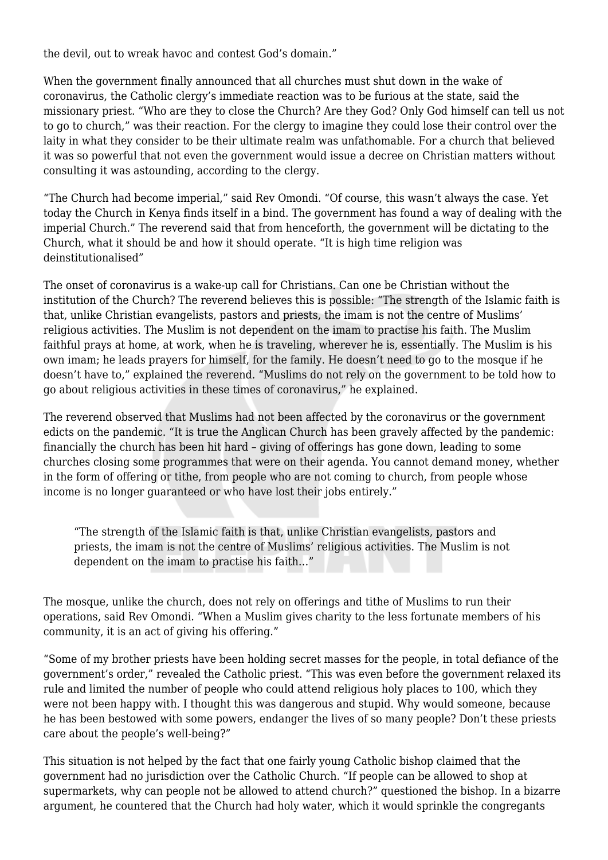the devil, out to wreak havoc and contest God's domain."

When the government finally announced that all churches must shut down in the wake of coronavirus, the Catholic clergy's immediate reaction was to be furious at the state, said the missionary priest. "Who are they to close the Church? Are they God? Only God himself can tell us not to go to church," was their reaction. For the clergy to imagine they could lose their control over the laity in what they consider to be their ultimate realm was unfathomable. For a church that believed it was so powerful that not even the government would issue a decree on Christian matters without consulting it was astounding, according to the clergy.

"The Church had become imperial," said Rev Omondi. "Of course, this wasn't always the case. Yet today the Church in Kenya finds itself in a bind. The government has found a way of dealing with the imperial Church." The reverend said that from henceforth, the government will be dictating to the Church, what it should be and how it should operate. "It is high time religion was deinstitutionalised"

The onset of coronavirus is a wake-up call for Christians. Can one be Christian without the institution of the Church? The reverend believes this is possible: "The strength of the Islamic faith is that, unlike Christian evangelists, pastors and priests, the imam is not the centre of Muslims' religious activities. The Muslim is not dependent on the imam to practise his faith. The Muslim faithful prays at home, at work, when he is traveling, wherever he is, essentially. The Muslim is his own imam; he leads prayers for himself, for the family. He doesn't need to go to the mosque if he doesn't have to," explained the reverend. "Muslims do not rely on the government to be told how to go about religious activities in these times of coronavirus," he explained.

The reverend observed that Muslims had not been affected by the coronavirus or the government edicts on the pandemic. "It is true the Anglican Church has been gravely affected by the pandemic: financially the church has been hit hard – giving of offerings has gone down, leading to some churches closing some programmes that were on their agenda. You cannot demand money, whether in the form of offering or tithe, from people who are not coming to church, from people whose income is no longer guaranteed or who have lost their jobs entirely."

"The strength of the Islamic faith is that, unlike Christian evangelists, pastors and priests, the imam is not the centre of Muslims' religious activities. The Muslim is not dependent on the imam to practise his faith…"

The mosque, unlike the church, does not rely on offerings and tithe of Muslims to run their operations, said Rev Omondi. "When a Muslim gives charity to the less fortunate members of his community, it is an act of giving his offering."

"Some of my brother priests have been holding secret masses for the people, in total defiance of the government's order," revealed the Catholic priest. "This was even before the government relaxed its rule and limited the number of people who could attend religious holy places to 100, which they were not been happy with. I thought this was dangerous and stupid. Why would someone, because he has been bestowed with some powers, endanger the lives of so many people? Don't these priests care about the people's well-being?"

This situation is not helped by the fact that one fairly young Catholic bishop claimed that the government had no jurisdiction over the Catholic Church. "If people can be allowed to shop at supermarkets, why can people not be allowed to attend church?" questioned the bishop. In a bizarre argument, he countered that the Church had holy water, which it would sprinkle the congregants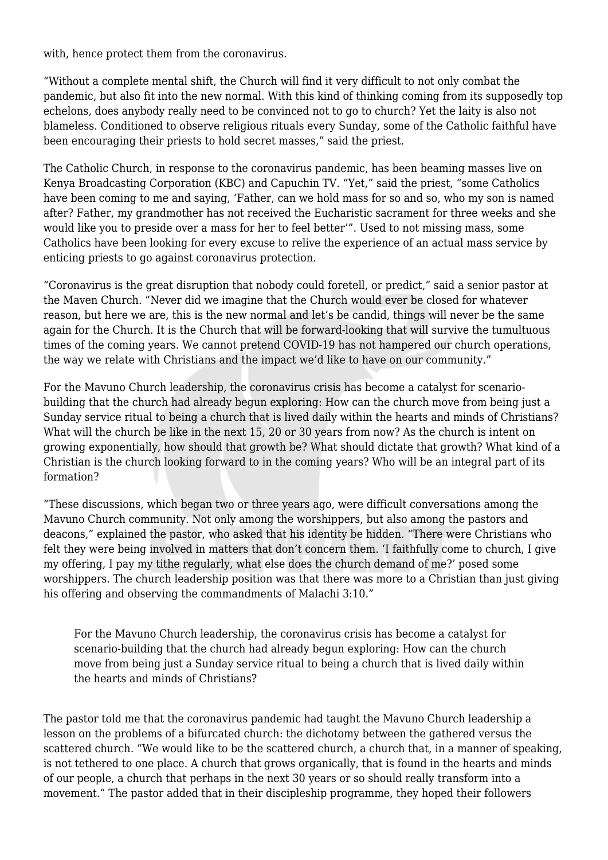with, hence protect them from the coronavirus.

"Without a complete mental shift, the Church will find it very difficult to not only combat the pandemic, but also fit into the new normal. With this kind of thinking coming from its supposedly top echelons, does anybody really need to be convinced not to go to church? Yet the laity is also not blameless. Conditioned to observe religious rituals every Sunday, some of the Catholic faithful have been encouraging their priests to hold secret masses," said the priest.

The Catholic Church, in response to the coronavirus pandemic, has been beaming masses live on Kenya Broadcasting Corporation (KBC) and Capuchin TV. "Yet," said the priest, "some Catholics have been coming to me and saying, 'Father, can we hold mass for so and so, who my son is named after? Father, my grandmother has not received the Eucharistic sacrament for three weeks and she would like you to preside over a mass for her to feel better'". Used to not missing mass, some Catholics have been looking for every excuse to relive the experience of an actual mass service by enticing priests to go against coronavirus protection.

"Coronavirus is the great disruption that nobody could foretell, or predict," said a senior pastor at the Maven Church. "Never did we imagine that the Church would ever be closed for whatever reason, but here we are, this is the new normal and let's be candid, things will never be the same again for the Church. It is the Church that will be forward-looking that will survive the tumultuous times of the coming years. We cannot pretend COVID-19 has not hampered our church operations, the way we relate with Christians and the impact we'd like to have on our community."

For the Mavuno Church leadership, the coronavirus crisis has become a catalyst for scenariobuilding that the church had already begun exploring: How can the church move from being just a Sunday service ritual to being a church that is lived daily within the hearts and minds of Christians? What will the church be like in the next 15, 20 or 30 years from now? As the church is intent on growing exponentially, how should that growth be? What should dictate that growth? What kind of a Christian is the church looking forward to in the coming years? Who will be an integral part of its formation?

"These discussions, which began two or three years ago, were difficult conversations among the Mavuno Church community. Not only among the worshippers, but also among the pastors and deacons," explained the pastor, who asked that his identity be hidden. "There were Christians who felt they were being involved in matters that don't concern them. 'I faithfully come to church, I give my offering, I pay my tithe regularly, what else does the church demand of me?' posed some worshippers. The church leadership position was that there was more to a Christian than just giving his offering and observing the commandments of Malachi 3:10."

For the Mavuno Church leadership, the coronavirus crisis has become a catalyst for scenario-building that the church had already begun exploring: How can the church move from being just a Sunday service ritual to being a church that is lived daily within the hearts and minds of Christians?

The pastor told me that the coronavirus pandemic had taught the Mavuno Church leadership a lesson on the problems of a bifurcated church: the dichotomy between the gathered versus the scattered church. "We would like to be the scattered church, a church that, in a manner of speaking, is not tethered to one place. A church that grows organically, that is found in the hearts and minds of our people, a church that perhaps in the next 30 years or so should really transform into a movement." The pastor added that in their discipleship programme, they hoped their followers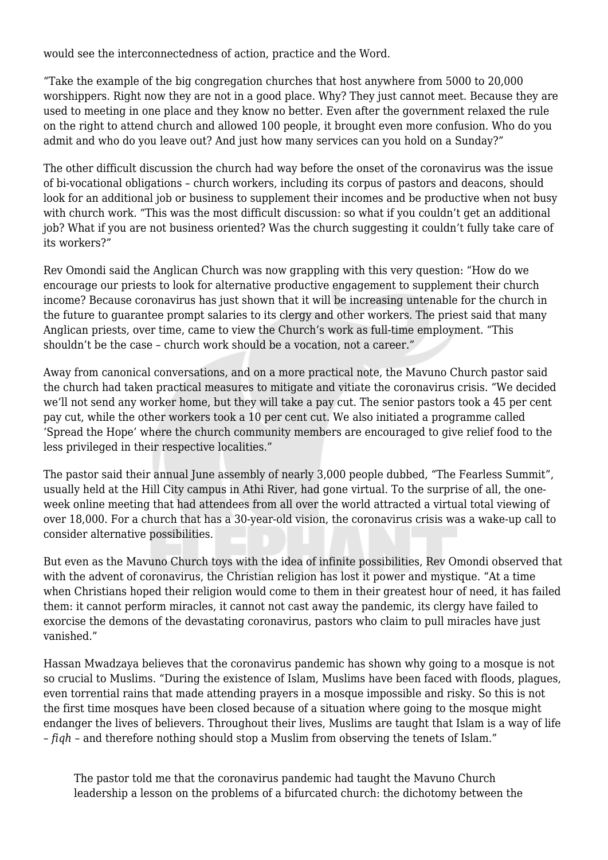would see the interconnectedness of action, practice and the Word.

"Take the example of the big congregation churches that host anywhere from 5000 to 20,000 worshippers. Right now they are not in a good place. Why? They just cannot meet. Because they are used to meeting in one place and they know no better. Even after the government relaxed the rule on the right to attend church and allowed 100 people, it brought even more confusion. Who do you admit and who do you leave out? And just how many services can you hold on a Sunday?"

The other difficult discussion the church had way before the onset of the coronavirus was the issue of bi-vocational obligations – church workers, including its corpus of pastors and deacons, should look for an additional job or business to supplement their incomes and be productive when not busy with church work. "This was the most difficult discussion: so what if you couldn't get an additional job? What if you are not business oriented? Was the church suggesting it couldn't fully take care of its workers?"

Rev Omondi said the Anglican Church was now grappling with this very question: "How do we encourage our priests to look for alternative productive engagement to supplement their church income? Because coronavirus has just shown that it will be increasing untenable for the church in the future to guarantee prompt salaries to its clergy and other workers. The priest said that many Anglican priests, over time, came to view the Church's work as full-time employment. "This shouldn't be the case – church work should be a vocation, not a career."

Away from canonical conversations, and on a more practical note, the Mavuno Church pastor said the church had taken practical measures to mitigate and vitiate the coronavirus crisis. "We decided we'll not send any worker home, but they will take a pay cut. The senior pastors took a 45 per cent pay cut, while the other workers took a 10 per cent cut. We also initiated a programme called 'Spread the Hope' where the church community members are encouraged to give relief food to the less privileged in their respective localities."

The pastor said their annual June assembly of nearly 3,000 people dubbed, "The Fearless Summit", usually held at the Hill City campus in Athi River, had gone virtual. To the surprise of all, the oneweek online meeting that had attendees from all over the world attracted a virtual total viewing of over 18,000. For a church that has a 30-year-old vision, the coronavirus crisis was a wake-up call to consider alternative possibilities.

But even as the Mavuno Church toys with the idea of infinite possibilities, Rev Omondi observed that with the advent of coronavirus, the Christian religion has lost it power and mystique. "At a time when Christians hoped their religion would come to them in their greatest hour of need, it has failed them: it cannot perform miracles, it cannot not cast away the pandemic, its clergy have failed to exorcise the demons of the devastating coronavirus, pastors who claim to pull miracles have just vanished."

Hassan Mwadzaya believes that the coronavirus pandemic has shown why going to a mosque is not so crucial to Muslims. "During the existence of Islam, Muslims have been faced with floods, plagues, even torrential rains that made attending prayers in a mosque impossible and risky. So this is not the first time mosques have been closed because of a situation where going to the mosque might endanger the lives of believers. Throughout their lives, Muslims are taught that Islam is a way of life – *fiqh* – and therefore nothing should stop a Muslim from observing the tenets of Islam."

The pastor told me that the coronavirus pandemic had taught the Mavuno Church leadership a lesson on the problems of a bifurcated church: the dichotomy between the